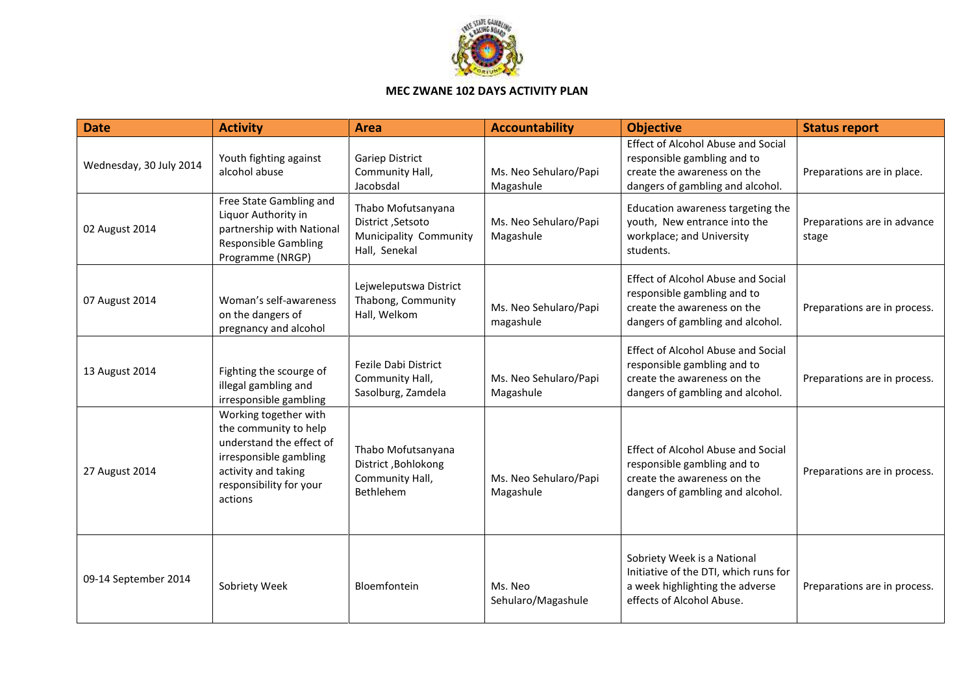

## **MEC ZWANE 102 DAYS ACTIVITY PLAN**

| <b>Date</b>             | <b>Activity</b>                                                                                                                                                   | <b>Area</b>                                                                        | <b>Accountability</b>              | <b>Objective</b>                                                                                                                            | <b>Status report</b>                 |
|-------------------------|-------------------------------------------------------------------------------------------------------------------------------------------------------------------|------------------------------------------------------------------------------------|------------------------------------|---------------------------------------------------------------------------------------------------------------------------------------------|--------------------------------------|
| Wednesday, 30 July 2014 | Youth fighting against<br>alcohol abuse                                                                                                                           | <b>Gariep District</b><br>Community Hall,<br>Jacobsdal                             | Ms. Neo Sehularo/Papi<br>Magashule | <b>Effect of Alcohol Abuse and Social</b><br>responsible gambling and to<br>create the awareness on the<br>dangers of gambling and alcohol. | Preparations are in place.           |
| 02 August 2014          | Free State Gambling and<br>Liquor Authority in<br>partnership with National<br><b>Responsible Gambling</b><br>Programme (NRGP)                                    | Thabo Mofutsanyana<br>District, Setsoto<br>Municipality Community<br>Hall, Senekal | Ms. Neo Sehularo/Papi<br>Magashule | Education awareness targeting the<br>youth, New entrance into the<br>workplace; and University<br>students.                                 | Preparations are in advance<br>stage |
| 07 August 2014          | Woman's self-awareness<br>on the dangers of<br>pregnancy and alcohol                                                                                              | Lejweleputswa District<br>Thabong, Community<br>Hall, Welkom                       | Ms. Neo Sehularo/Papi<br>magashule | <b>Effect of Alcohol Abuse and Social</b><br>responsible gambling and to<br>create the awareness on the<br>dangers of gambling and alcohol. | Preparations are in process.         |
| 13 August 2014          | Fighting the scourge of<br>illegal gambling and<br>irresponsible gambling                                                                                         | <b>Fezile Dabi District</b><br>Community Hall,<br>Sasolburg, Zamdela               | Ms. Neo Sehularo/Papi<br>Magashule | <b>Effect of Alcohol Abuse and Social</b><br>responsible gambling and to<br>create the awareness on the<br>dangers of gambling and alcohol. | Preparations are in process.         |
| 27 August 2014          | Working together with<br>the community to help<br>understand the effect of<br>irresponsible gambling<br>activity and taking<br>responsibility for your<br>actions | Thabo Mofutsanyana<br>District, Bohlokong<br>Community Hall,<br>Bethlehem          | Ms. Neo Sehularo/Papi<br>Magashule | <b>Effect of Alcohol Abuse and Social</b><br>responsible gambling and to<br>create the awareness on the<br>dangers of gambling and alcohol. | Preparations are in process.         |
| 09-14 September 2014    | Sobriety Week                                                                                                                                                     | Bloemfontein                                                                       | Ms. Neo<br>Sehularo/Magashule      | Sobriety Week is a National<br>Initiative of the DTI, which runs for<br>a week highlighting the adverse<br>effects of Alcohol Abuse.        | Preparations are in process.         |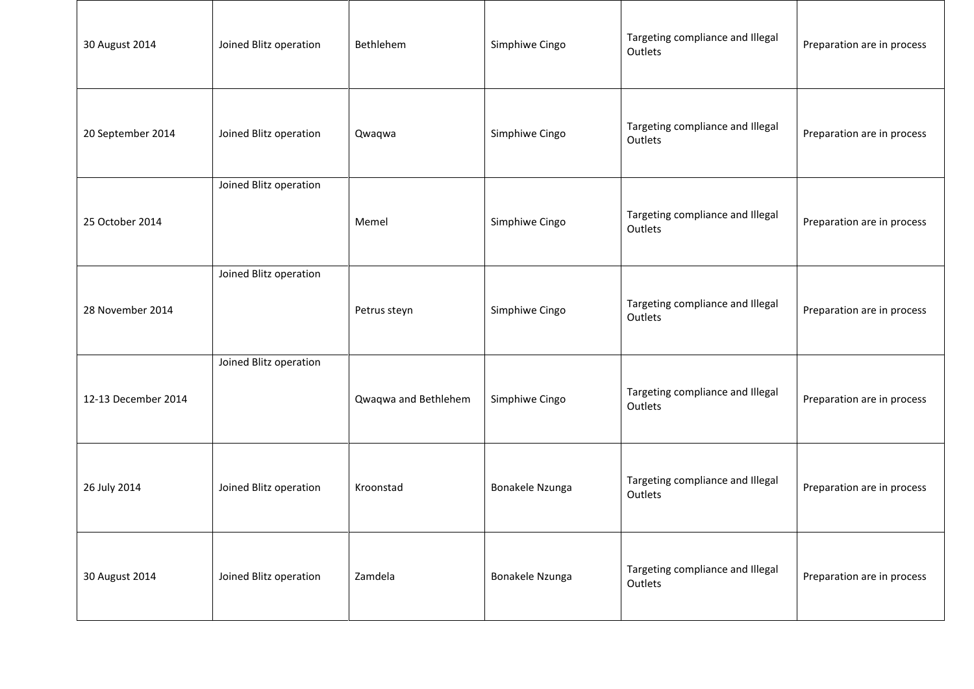| 30 August 2014      | Joined Blitz operation | Bethlehem            | Simphiwe Cingo  | Targeting compliance and Illegal<br>Outlets | Preparation are in process |
|---------------------|------------------------|----------------------|-----------------|---------------------------------------------|----------------------------|
| 20 September 2014   | Joined Blitz operation | Qwaqwa               | Simphiwe Cingo  | Targeting compliance and Illegal<br>Outlets | Preparation are in process |
| 25 October 2014     | Joined Blitz operation | Memel                | Simphiwe Cingo  | Targeting compliance and Illegal<br>Outlets | Preparation are in process |
| 28 November 2014    | Joined Blitz operation | Petrus steyn         | Simphiwe Cingo  | Targeting compliance and Illegal<br>Outlets | Preparation are in process |
| 12-13 December 2014 | Joined Blitz operation | Qwaqwa and Bethlehem | Simphiwe Cingo  | Targeting compliance and Illegal<br>Outlets | Preparation are in process |
| 26 July 2014        | Joined Blitz operation | Kroonstad            | Bonakele Nzunga | Targeting compliance and Illegal<br>Outlets | Preparation are in process |
| 30 August 2014      | Joined Blitz operation | Zamdela              | Bonakele Nzunga | Targeting compliance and Illegal<br>Outlets | Preparation are in process |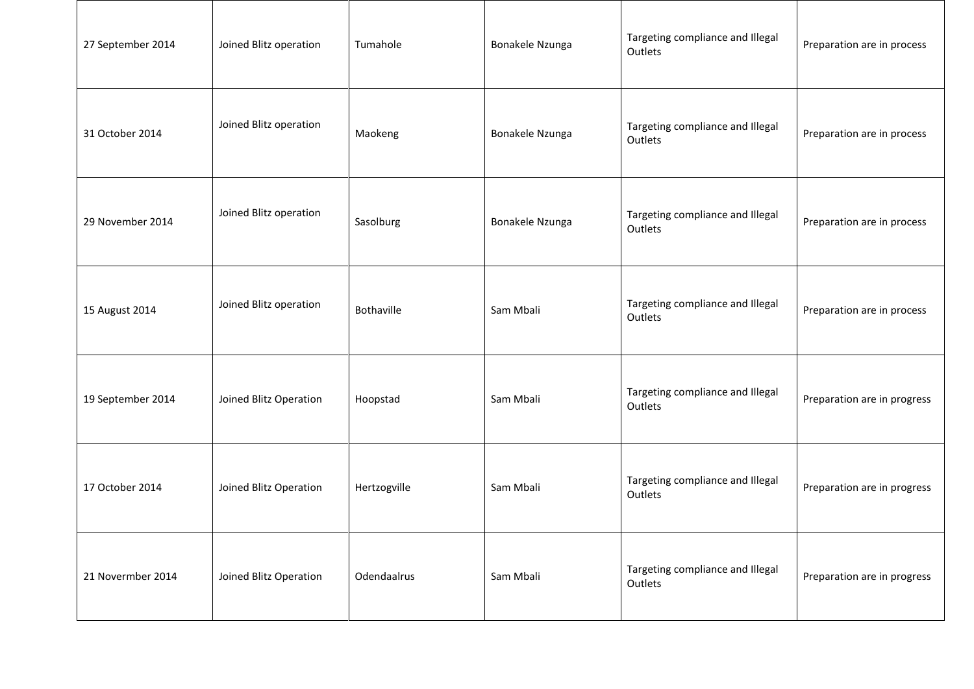| 27 September 2014 | Joined Blitz operation | Tumahole     | Bonakele Nzunga | Targeting compliance and Illegal<br>Outlets | Preparation are in process  |
|-------------------|------------------------|--------------|-----------------|---------------------------------------------|-----------------------------|
| 31 October 2014   | Joined Blitz operation | Maokeng      | Bonakele Nzunga | Targeting compliance and Illegal<br>Outlets | Preparation are in process  |
| 29 November 2014  | Joined Blitz operation | Sasolburg    | Bonakele Nzunga | Targeting compliance and Illegal<br>Outlets | Preparation are in process  |
| 15 August 2014    | Joined Blitz operation | Bothaville   | Sam Mbali       | Targeting compliance and Illegal<br>Outlets | Preparation are in process  |
| 19 September 2014 | Joined Blitz Operation | Hoopstad     | Sam Mbali       | Targeting compliance and Illegal<br>Outlets | Preparation are in progress |
| 17 October 2014   | Joined Blitz Operation | Hertzogville | Sam Mbali       | Targeting compliance and Illegal<br>Outlets | Preparation are in progress |
| 21 Novermber 2014 | Joined Blitz Operation | Odendaalrus  | Sam Mbali       | Targeting compliance and Illegal<br>Outlets | Preparation are in progress |

Т

┬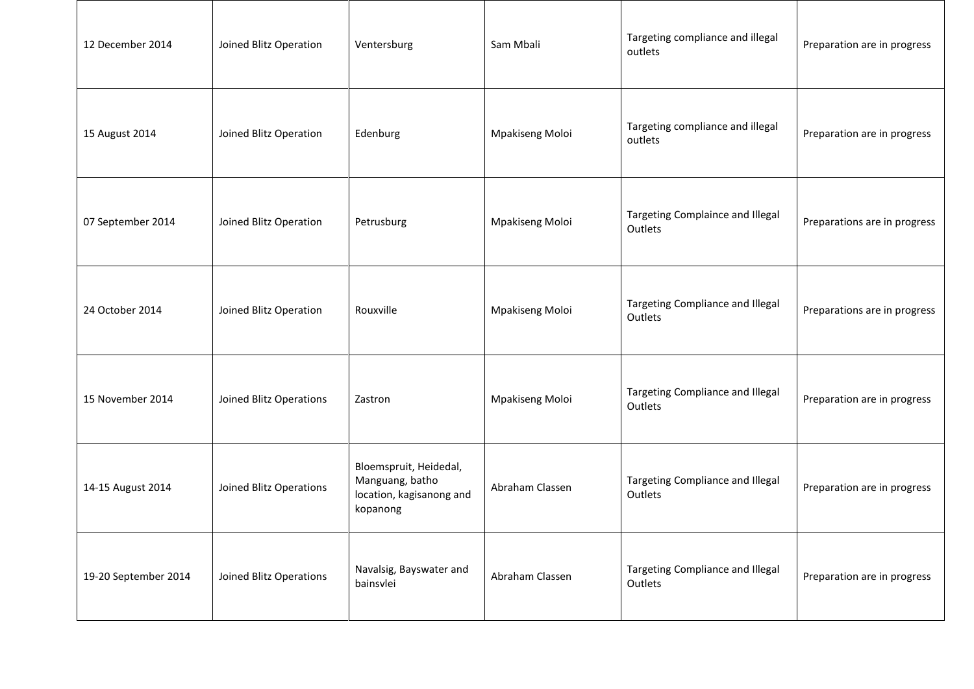| 12 December 2014     | Joined Blitz Operation  | Ventersburg                                                                       | Sam Mbali       | Targeting compliance and illegal<br>outlets | Preparation are in progress  |
|----------------------|-------------------------|-----------------------------------------------------------------------------------|-----------------|---------------------------------------------|------------------------------|
| 15 August 2014       | Joined Blitz Operation  | Edenburg                                                                          | Mpakiseng Moloi | Targeting compliance and illegal<br>outlets | Preparation are in progress  |
| 07 September 2014    | Joined Blitz Operation  | Petrusburg                                                                        | Mpakiseng Moloi | Targeting Complaince and Illegal<br>Outlets | Preparations are in progress |
| 24 October 2014      | Joined Blitz Operation  | Rouxville                                                                         | Mpakiseng Moloi | Targeting Compliance and Illegal<br>Outlets | Preparations are in progress |
| 15 November 2014     | Joined Blitz Operations | Zastron                                                                           | Mpakiseng Moloi | Targeting Compliance and Illegal<br>Outlets | Preparation are in progress  |
| 14-15 August 2014    | Joined Blitz Operations | Bloemspruit, Heidedal,<br>Manguang, batho<br>location, kagisanong and<br>kopanong | Abraham Classen | Targeting Compliance and Illegal<br>Outlets | Preparation are in progress  |
| 19-20 September 2014 | Joined Blitz Operations | Navalsig, Bayswater and<br>bainsvlei                                              | Abraham Classen | Targeting Compliance and Illegal<br>Outlets | Preparation are in progress  |

Т

┬